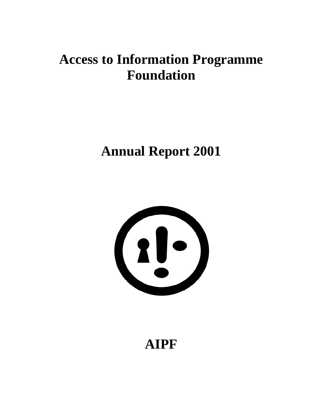# **Access to Information Programme Foundation**

# **Annual Report 2001**



**AIPF**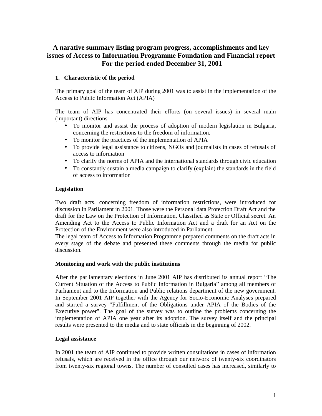# **A narative summary listing program progress, accomplishments and key issues of Access to Information Programme Foundation and Financial report For the period ended December 31, 2001**

## **1. Characteristic of the period**

The primary goal of the team of AIP during 2001 was to assist in the implementation of the Access to Public Information Act (APIA)

The team of AIP has concentrated their efforts (on several issues) in several main (important) directions

- To monitor and assist the process of adoption of modern legislation in Bulgaria, concerning the restrictions to the freedom of information.
- To monitor the practices of the implementation of APIA
- To provide legal assistance to citizens, NGOs and journalists in cases of refusals of access to information
- To clarify the norms of APIA and the international standards through civic education
- To constantly sustain a media campaign to clarify (explain) the standards in the field of access to information

#### **Legislation**

Two draft acts, concerning freedom of information restrictions, were introduced for discussion in Parliament in 2001. Those were the Personal data Protection Draft Act and the draft for the Law on the Protection of Information, Classified as State or Official secret. An Amending Act to the Access to Public Information Act and a draft for an Act on the Protection of the Environment were also introduced in Parliament.

The legal team of Access to Information Programme prepared comments on the draft acts in every stage of the debate and presented these comments through the media for public discussion.

#### **Monitoring and work with the public institutions**

After the parliamentary elections in June 2001 AIP has distributed its annual report "The Current Situation of the Access to Public Information in Bulgaria" among all members of Parliament and to the Information and Public relations department of the new government. In September 2001 AIP together with the Agency for Socio-Economic Analyses prepared and started a survey "Fulfillment of the Obligations under APIA of the Bodies of the Executive power". The goal of the survey was to outline the problems concerning the implementation of APIA one year after its adoption. The survey itself and the principal results were presented to the media and to state officials in the beginning of 2002.

#### **Legal assistance**

In 2001 the team of AIP continued to provide written consultations in cases of information refusals, which are received in the office through our network of twenty-six coordinators from twenty-six regional towns. The number of consulted cases has increased, similarly to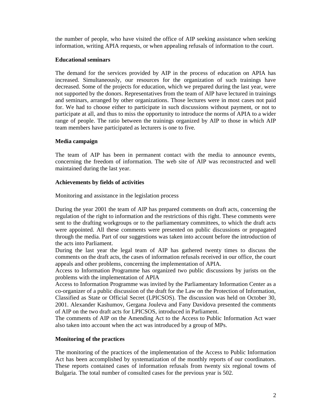the number of people, who have visited the office of AIP seeking assistance when seeking information, writing APIA requests, or when appealing refusals of information to the court.

#### **Educational seminars**

The demand for the services provided by AIP in the process of education on APIA has increased. Simultaneously, our resources for the organization of such trainings have decreased. Some of the projects for education, which we prepared during the last year, were not supported by the donors. Representatives from the team of AIP have lectured in trainings and seminars, arranged by other organizations. Those lectures were in most cases not paid for. We had to choose either to participate in such discussions without payment, or not to participate at all, and thus to miss the opportunity to introduce the norms of APIA to a wider range of people. The ratio between the trainings organized by AIP to those in which AIP team members have participated as lecturers is one to five.

## **Media campaign**

The team of AIP has been in permanent contact with the media to announce events, concerning the freedom of information. The web site of AIP was reconstructed and well maintained during the last year.

#### **Achievements by fields of activities**

Monitoring and assistance in the legislation process

During the year 2001 the team of AIP has prepared comments on draft acts, concerning the regulation of the right to information and the restrictions of this right. These comments were sent to the drafting workgroups or to the parliamentary committees, to which the draft acts were appointed. All these comments were presented on public discussions or propagated through the media. Part of our suggestions was taken into account before the introduction of the acts into Parliament.

During the last year the legal team of AIP has gathered twenty times to discuss the comments on the draft acts, the cases of information refusals received in our office, the court appeals and other problems, concerning the implementation of APIA.

Access to Information Programme has organized two public discussions by jurists on the problems with the implementation of APIA

Access to Information Programme was invited by the Parliamentary Information Center as a co-organizer of a public discussion of the draft for the Law on the Protection of Information, Classified as State or Official Secret (LPICSOS). The discussion was held on October 30, 2001. Alexander Kashumov, Gergana Jouleva and Fany Davidova presented the comments of AIP on the two draft acts for LPICSOS, introduced in Parliament.

The comments of AIP on the Amending Act to the Access to Public Information Act waer also taken into account when the act was introduced by a group of MPs.

## **Monitoring of the practices**

The monitoring of the practices of the implementation of the Access to Public Information Act has been accomplished by systematization of the monthly reports of our coordinators. These reports contained cases of information refusals from twenty six regional towns of Bulgaria. The total number of consulted cases for the previous year is 502.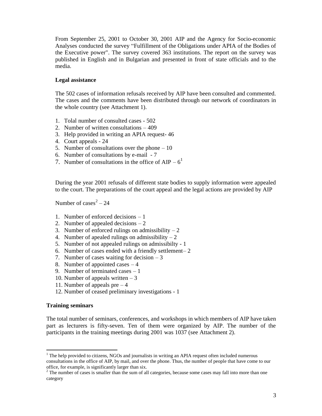From September 25, 2001 to October 30, 2001 AIP and the Agency for Socio-economic Analyses conducted the survey "Fulfillment of the Obligations under APIA of the Bodies of the Executive power". The survey covered 363 institutions. The report on the survey was published in English and in Bulgarian and presented in front of state officials and to the media.

## **Legal assistance**

The 502 cases of information refusals received by AIP have been consulted and commented. The cases and the comments have been distributed through our network of coordinators in the whole country (see Attachment 1).

- 1. Tolal number of consulted cases 502
- 2. Number of written consultations 409
- 3. Help provided in writing an APIA request- 46
- 4. Court appeals 24
- 5. Number of consultations over the phone 10
- 6. Number of consultations by e-mail 7
- 7. Number of consultations in the office of  $AIP 6<sup>1</sup>$

During the year 2001 refusals of different state bodies to supply information were appealed to the court. The preparations of the court appeal and the legal actions are provided by AIP

Number of  $cases<sup>2</sup> - 24$ 

- 1. Number of enforced decisions 1
- 2. Number of appealed decisions  $-2$
- 3. Number of enforced rulings on admissibility  $-2$
- 4. Number of apealed rulings on admissibility  $-2$
- 5. Number of not appealed rulings on admissibilty 1
- 6. Number of cases ended with a friendly settlement– 2
- 7. Number of cases waiting for decision  $-3$
- 8. Number of appointed cases 4
- 9. Number of terminated cases 1
- 10. Number of appeals written  $-3$
- 11. Number of appeals pre 4
- 12. Number of ceased preliminary investigations 1

#### **Training seminars**

l

The total number of seminars, conferences, and workshops in which members of AIP have taken part as lecturers is fifty-seven. Ten of them were organized by AIP. The number of the participants in the training meetings during 2001 was 1037 (see Attachment 2).

 $1$  The help provided to citizens, NGOs and journalists in writing an APIA request often included numerous consultations in the office of AIP, by mail, and over the phone. Thus, the number of people that have come to our office, for example, is significantly larger than six.

 $2^2$  The number of cases is smaller than the sum of all categories, because some cases may fall into more than one category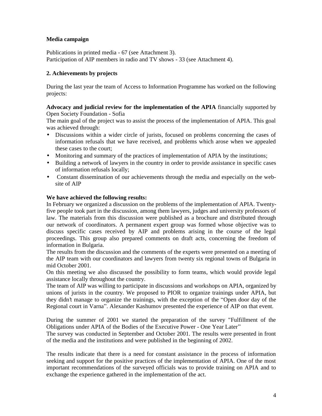# **Media campaign**

Publications in printed media - 67 (see Attachment 3). Participation of AIP members in radio and TV shows - 33 (see Attachment 4).

## **2. Achievements by projects**

During the last year the team of Access to Information Programme has worked on the following projects:

**Advocacy and judicial review for the implementation of the APIA** financially supported by Open Society Foundation - Sofia

The main goal of the project was to assist the process of the implementation of APIA. This goal was achieved through:

- Discussions within a wider circle of jurists, focused on problems concerning the cases of information refusals that we have received, and problems which arose when we appealed these cases to the court;
- Monitoring and summary of the practices of implementation of APIA by the institutions;
- Building a network of lawyers in the country in order to provide assistance in specific cases of information refusals locally;
- Constant dissemination of our achievements through the media and especially on the website of AIP

#### **We have achieved the following results:**

In February we organized a discussion on the problems of the implementation of APIA. Twentyfive people took part in the discussion, among them lawyers, judges and university professors of law. The materials from this discussion were published as a brochure and distributed through our network of coordinators. A permanent expert group was formed whose objective was to discuss specific cases received by AIP and problems arising in the course of the legal proceedings. This group also prepared comments on draft acts, concerning the freedom of information in Bulgaria.

The results from the discussion and the comments of the experts were presented on a meeting of the AIP team with our coordinators and lawyers from twenty six regional towns of Bulgaria in mid October 2001.

On this meeting we also discussed the possibility to form teams, which would provide legal assistance locally throughout the country.

The team of AIP was willing to participate in discussions and workshops on APIA, organized by unions of jurists in the country. We proposed to PIOR to organize trainings under APIA, but they didn't manage to organize the trainings, with the exception of the "Open door day of the Regional court in Varna". Alexander Kashumov presented the experience of AIP on that event.

During the summer of 2001 we started the preparation of the survey "Fulfillment of the Obligations under APIA of the Bodies of the Executive Power - One Year Later"

The survey was conducted in September and October 2001. The results were presented in front of the media and the institutions and were published in the beginning of 2002.

The results indicate that there is a need for constant assistance in the process of information seeking and support for the positive practices of the implementation of APIA. One of the most important recommendations of the surveyed officials was to provide training on APIA and to exchange the experience gathered in the implementation of the act.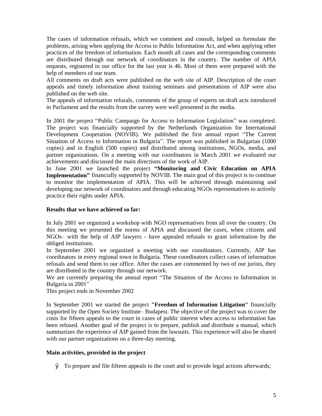The cases of information refusals, which we comment and consult, helped us formulate the problems, arising when applying the Access to Public Information Act, and when applying other practices of the freedom of information. Each month all cases and the corresponding comments are distributed through our network of coordinators in the country. The number of APIA requests, registered in our office for the last year is 46. Most of them were prepared with the help of members of our team.

All comments on draft acts were published on the web site of AIP. Description of the court appeals and timely information about training seminars and presentations of AIP were also published on the web site.

The appeals of information refusals, comments of the group of experts on draft acts introduced in Parliament and the results from the survey were well presented in the media.

In 2001 the project "Public Campaign for Access to Information Legislation" was completed. The project was financially supported by the Netherlands Organization for International Development Cooperation (NOVIB). We published the first annual report "The Current Situation of Access to Information in Bulgaria". The report was published in Bulgarian (1000 copies) and in English (500 copies) and distributed among institutions, NGOs, media, and partner organizations. On a meeting with our coordinators in March 2001 we evaluated our achievements and discussed the main directions of the work of AIP.

In June 2001 we launched the project **"Monitoring and Civic Education on APIA Implementation"** financially supported by NOVIB. The main goal of this project is to continue to monitor the implementation of APIA. This will be achieved through maintaining and developing our network of coordinators and through educating NGOs representatives to actively practice their rights under APIA.

## **Results that we have achieved so far:**

In July 2001 we organized a workshop with NGO representatives from all over the country. On this meeting we presented the norms of APIA and discussed the cases, when citizens and NGOs– with the help of AIP lawyers - have appealed refusals to grant information by the obliged institutions.

In September 2001 we organized a meeting with our coordinators. Currently, AIP has coordinators in every regional town in Bulgaria. These coordinators collect cases of information refusals and send them to our office. After the cases are commented by two of our jurists, they are distributed in the country through our network.

We are currently preparing the annual report "The Situation of the Access to Information in Bulgaria in 2001"

This project ends in November 2002

In September 2001 we started the project **"Freedom of Information Litigation"** financially supported by the Open Society Institute– Budapest. The objective of the project was to cover the costs for fifteen appeals to the court in cases of public interest when access to information has been refused. Another goal of the project is to prepare, publish and distribute a manual, which summarizes the experience of AIP gained from the lawsuits. This experience will also be shared with our partner organizations on a three-day meeting.

## **Main activities, provided in the project**

Ø To prepare and file fifteen appeals to the court and to provide legal actions afterwards;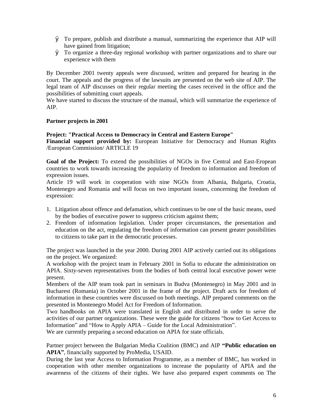- Ø To prepare, publish and distribute a manual, summarizing the experience that AIP will have gained from litigation;
- Ø To organize a three-day regional workshop with partner organizations and to share our experience with them

By December 2001 twenty appeals were discussed, written and prepared for hearing in the court. The appeals and the progress of the lawsuits are presented on the web site of AIP. The legal team of AIP discusses on their regular meeting the cases received in the office and the possibilities of submitting court appeals.

We have started to discuss the structure of the manual, which will summarize the experience of AIP.

#### **Partner projects in 2001**

#### **Project: "Practical Access to Democracy in Central and Eastern Europe"**

**Financial support provided by:** European Initiative for Democracy and Human Rights /European Commission/ ARTICLE 19

**Goal of the Project:** To extend the possibilities of NGOs in five Central and East-Eropean countries to work towards increasing the popularity of freedom to information and freedom of expression issues.

Article 19 will work in cooperation with nine NGOs from Albania, Bulgaria, Croatia, Montenegro and Romania and will focus on two important issues, concerning the freedom of expression:

- 1. Litigation about offence and defamation, which continues to be one of the basic means, used by the bodies of executive power to suppress criticism against them;
- 2. Freedom of information legislation. Under proper circumstances, the presentation and education on the act, regulating the freedom of information can present greater possibilities to citizens to take part in the democratic processes.

The project was launched in the year 2000. During 2001 AIP actively carried out its obligations on the project. We organized:

A workshop with the project team in February 2001 in Sofia to educate the administration on APIA. Sixty-seven representatives from the bodies of both central local executive power were present.

Members of the AIP team took part in seminars in Budva (Montenegro) in May 2001 and in Bucharest (Romania) in October 2001 in the frame of the project. Draft acts for freedom of information in these countries were discussed on both meetings. AIP prepared comments on the presented in Montenegro Model Act for Freedom of Information.

Two handbooks on APIA were translated in English and distributed in order to serve the activities of our partner organizations. These were the guide for citizens "how to Get Access to Information" and "How to Apply АPIA – Guide for the Local Administration".

We are currently preparing a second education on APIA for state officials.

Partner project between the Bulgarian Media Coalition (BMC) and AIP **"Public education on APIA"**, financially supported by ProMedia, USAID.

During the last year Access to Information Programme, as a member of BMC, has worked in cooperation with other member organizations to increase the popularity of APIA and the awareness of the citizens of their rights. We have also prepared expert comments on The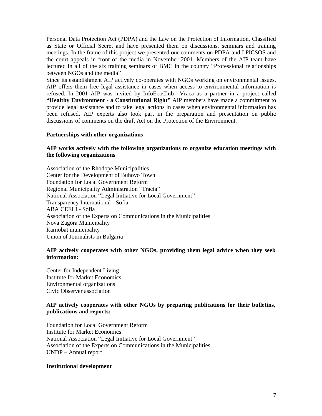Personal Data Protection Act (PDPA) and the Law on the Protection of Information, Classified as State or Official Secret and have presented them on discussions, seminars and training meetings. In the frame of this project we presented our comments on PDPA and LPICSOS and the court appeals in front of the media in November 2001. Members of the AIP team have lectured in all of the six training seminars of BMC in the country "Professional relationships between NGOs and the media"

Since its establishment AIP actively co-operates with NGOs working on environmental issues. AIP offers them free legal assistance in cases when access to environmental information is refused. In 2001 AIP was invited by InfoEcoClub –Vraca as a partner in a project called **"Healthy Environment - a Constitutional Right"** AIP members have made a commitment to provide legal assistance and to take legal actions in cases when environmental information has been refused. AIP experts also took part in the preparation and presentation on public discussions of comments on the draft Act on the Protection of the Environment.

#### **Partnerships with other organizations**

#### **AIP works actively with the following organizations to organize education meetings with the following organizations**

Association of the Rhodope Municipalities Center for the Development of Buhovo Town Foundation for Local Government Reform Regional Municipality Administration "Tracia" National Association "Legal Initiative for Local Government" Transparency International - Sofia ABA CEELI - Sofia Association of the Experts on Communications in the Municipalities Nova Zagora Municipality Кarnobat municipality Union of Journalists in Bulgaria

#### **AIP actively cooperates with other NGOs, providing them legal advice when they seek information:**

Center for Independent Living Institute for Market Economics Environmental organizations Civic Observer association

#### **AIP actively cooperates with other NGOs by preparing publications for their bulletins, publications and reports:**

Foundation for Local Government Reform Institute for Market Economics National Association "Legal Initiative for Local Government" Association of the Experts on Communications in the Municipalities UNDP – Annual report

#### **Institutional development**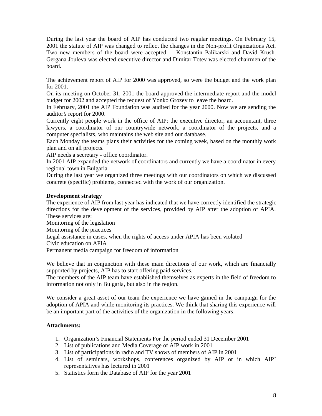During the last year the board of AIP has conducted two regular meetings. On February 15, 2001 the statute of AIP was changed to reflect the changes in the Non-profit Orgnizations Act. Two new members of the board were accepted - Konstantin Palikarski and David Krush. Gergana Jouleva was elected executive director and Dimitar Totev was elected chairmen of the board.

The achievement report of AIP for 2000 was approved, so were the budget and the work plan for 2001.

On its meeting on October 31, 2001 the board approved the intermediate report and the model budget for 2002 and accepted the request of Yonko Grozev to leave the board.

In February, 2001 the AIP Foundation was audited for the year 2000. Now we are sending the auditor's report for 2000.

Currently eight people work in the office of AIP: the executive director, an accountant, three lawyers, a coordinator of our countrywide network, a coordinator of the projects, and a computer specialists, who maintains the web site and our database.

Each Monday the teams plans their activities for the coming week, based on the monthly work plan and on all projects.

AIP needs a secretary - office coordinator.

In 2001 AIP expanded the network of coordinators and currently we have a coordinator in every regional town in Bulgaria.

During the last year we organized three meetings with our coordinators on which we discussed concrete (specific) problems, connected with the work of our organization.

#### **Development strategy**

The experience of AIP from last year has indicated that we have correctly identified the strategic directions for the development of the services, provided by AIP after the adoption of APIA. These services are:

Monitoring of the legislation

Monitoring of the practices

Legal assistance in cases, when the rights of access under APIA has been violated

Civic education on APIA

Permanent media campaign for freedom of information

We believe that in conjunction with these main directions of our work, which are financially supported by projects, AIP has to start offering paid services.

The members of the AIP team have established themselves as experts in the field of freedom to information not only in Bulgaria, but also in the region.

We consider a great asset of our team the experience we have gained in the campaign for the adoption of APIA and while monitoring its practices. We think that sharing this experience will be an important part of the activities of the organization in the following years.

#### **Attachments:**

- 1. Organization's Financial Statements For the period ended 31 December 2001
- 2. List of publications and Media Coverage of AIP work in 2001
- 3. List of participations in radio and TV shows of members of AIP in 2001
- 4. List of seminars, workshops, conferences organized by AIP or in which AIP' representatives has lectured in 2001
- 5. Statistics form the Database of AIP for the year 2001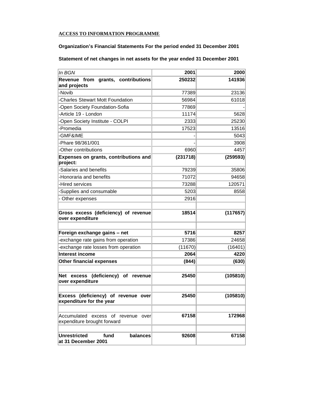#### **ACCESS TO INFORMATION PROGRAMME**

**Organization's Financial Statements For the period ended 31 December 2001** 

**Statement of net changes in net assets for the year ended 31 December 2001** 

| In BGN                                                               | 2001     | 2000     |
|----------------------------------------------------------------------|----------|----------|
| Revenue from grants, contributions<br>and projects                   | 250232   | 141936   |
| -Novib                                                               | 77389    | 23136    |
| -Charles Stewart Mott Foundation                                     | 56984    | 61018    |
| -Open Society Foundation-Sofia                                       | 77869    |          |
| -Article 19 - London                                                 | 11174    | 5628     |
| -Open Society Institute - COLPI                                      | 2333     | 25230    |
| -Promedia                                                            | 17523    | 13516    |
| -GMF&IME                                                             |          | 5043     |
| -Phare 98/361/001                                                    |          | 3908     |
| -Other contributions                                                 | 6960     | 4457     |
| Expenses on grants, contributions and<br>project:                    | (231718) | (259593) |
| -Salaries and benefits                                               | 79239    | 35806    |
| -Honoraria and benefits                                              | 71072    | 94658    |
| -Hired services                                                      | 73288    | 120571   |
| -Supplies and consumable                                             | 5203     | 8558     |
| - Other expenses                                                     | 2916     |          |
| Gross excess (deficiency) of revenue<br>over expenditure             | 18514    | (117657) |
| Foreign exchange gains - net                                         | 5716     | 8257     |
| -exchange rate gains from operation                                  | 17386    | 24658    |
| -exchange rate losses from operation                                 | (11670)  | (16401)  |
| <b>Interest income</b>                                               | 2064     | 4220     |
| <b>Other financial expenses</b>                                      | (844)    | (630)    |
| Net excess (deficiency) of<br>revenue<br>over expenditure            | 25450    | (105810) |
| Excess (deficiency) of<br>revenue over<br>expenditure for the year   | 25450    | (105810) |
| Accumulated excess of revenue<br>over<br>expenditure brought forward | 67158    | 172968   |
| fund<br><b>Unrestricted</b><br>balances<br>at 31 December 2001       | 92608    | 67158    |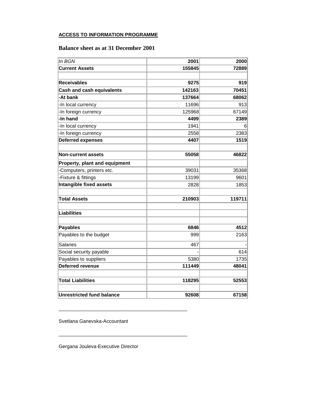#### **ACCESS TO INFORMATION PROGRAMME**

#### **Balance sheet as at 31 December 2001**

| In BGN                           | 2001   | 2000   |
|----------------------------------|--------|--------|
| <b>Current Assets</b>            | 155845 | 72889  |
|                                  |        |        |
| <b>Receivables</b>               | 9275   | 919    |
| <b>Cash and cash equivalents</b> | 142163 | 70451  |
| -At bank                         | 137664 | 68062  |
| -In local currency               | 11696  | 913    |
| -In foreign currency             | 125968 | 67149  |
| -In hand                         | 4499   | 2389   |
| -In local currency               | 1941   | 6      |
| -In foreign currency             | 2558   | 2383   |
| <b>Deferred expenses</b>         | 4407   | 1519   |
|                                  |        |        |
| <b>Non-current assets</b>        | 55058  | 46822  |
| Property, plant and equipment    |        |        |
| Computers, printers etc.         | 39031  | 35368  |
| -Fixture & fittings              | 13199  | 9601   |
| <b>Intangible fixed assets</b>   | 2828   | 1853   |
|                                  |        |        |
| <b>Total Assets</b>              | 210903 | 119711 |
|                                  |        |        |
| <b>Liabilities</b>               |        |        |
| <b>Payables</b>                  | 6846   | 4512   |
|                                  | 999    | 2163   |
| Payables to the budget           |        |        |
| <b>Salaries</b>                  | 467    |        |
| Social security payable          |        | 614    |
| Payables to suppliers            | 5380   | 1735   |
| <b>Deferred revenue</b>          | 111449 | 48041  |
|                                  |        |        |
| <b>Total Liabilities</b>         | 118295 | 52553  |
|                                  |        |        |
| <b>Unrestricted fund balance</b> | 92608  | 67158  |

Svetlana Ganevska-Accountant

\_\_\_\_\_\_\_\_\_\_\_\_\_\_\_\_\_\_\_\_\_\_\_\_\_\_\_\_\_\_\_\_\_\_\_\_\_\_\_\_\_\_\_\_\_\_\_

\_\_\_\_\_\_\_\_\_\_\_\_\_\_\_\_\_\_\_\_\_\_\_\_\_\_\_\_\_\_\_\_\_\_\_\_\_\_\_\_\_\_\_\_\_\_\_

Gergana Jouleva-Executive Director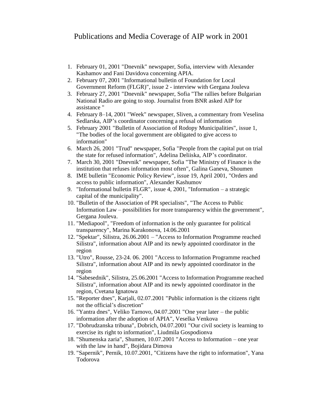- 1. February 01, 2001 "Dnevnik" newspaper, Sofia, interview with Alexander Kashamov and Fani Davidova concerning APIA.
- 2. February 07, 2001 "Informational bulletin of Foundation for Local Government Reform (FLGR)", issue 2 - interview with Gergana Jouleva
- 3. February 27, 2001 "Dnevnik" newspaper, Sofia "The rallies before Bulgarian National Radio are going to stop. Journalist from BNR asked AIP for assistance "
- 4. February 8–14, 2001 "Week" newspaper, Sliven, a commentary from Veselina Sedlarska, AIP's coordinator concerning a refusal of information
- 5. February 2001 "Bulletin of Association of Rodopy Municipalities", issue 1, "The bodies of the local government are obligated to give access to information"
- 6. March 26, 2001 "Trud" newspaper, Sofia "People from the capital put on trial the state for refused information", Adelina Deliiska, AIP's coordinator.
- 7. March 30, 2001 "Dnevnik" newspaper, Sofia "The Ministry of Finance is the institution that refuses information most often", Galina Ganeva, Shoumen
- 8. IME bulletin "Economic Policy Review", issue 19, April 2001, "Orders and access to public information", Alexander Kashumov
- 9. "Informational bulletin FLGR", issue 4, 2001, "Information a strategic capital of the municipality".
- 10. "Bulletin of the Association of PR specialists", "The Access to Public Information Law – possibilities for more transparency within the government", Gergana Jouleva.
- 11. "Mediapool", "Freedom of information is the only guarantee for political transparency", Marina Karakonova, 14.06.2001
- 12. "Spektar", Silistra, 26.06.2001 "Access to Information Programme reached Silistra", information about AIP and its newly appointed coordinator in the region
- 13. "Utro", Rousse, 23-24. 06. 2001 "Access to Information Programme reached Silistra", information about AIP and its newly appointed coordinator in the region
- 14. "Sabesednik", Silistra, 25.06.2001 "Access to Information Programme reached Silistra", information about AIP and its newly appointed coordinator in the region, Cvetana Ignatowa
- 15. "Reporter dnes", Karjali, 02.07.2001 "Public information is the citizens right not the official's discretion"
- 16. "Yantra dnes", Veliko Tarnovo, 04.07.2001 "One year later the public information after the adoption of APIA", Veselka Venkova
- 17. "Dobrudzanska tribuna", Dobrich, 04.07.2001 "Our civil society is learning to exercise its right to information", Liudmila Gospodionva
- 18. "Shumenska zaria", Shumen, 10.07.2001 "Access to Information one year with the law in hand", Bojidara Dimova
- 19. "Sapernik", Pernik, 10.07.2001, "Citizens have the right to information", Yana Todorova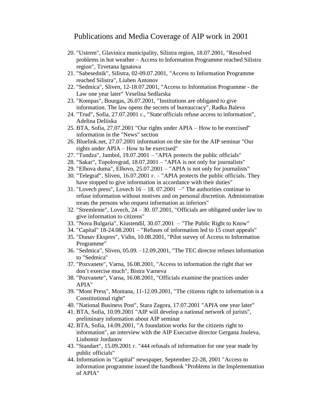- 20. "Ustrem", Glavinica municipality, Silistra region, 18.07.2001, "Resolved problems in hot weather – Access to Information Programme reached Silistra region", Tzvetana Ignatova
- 21. "Sabesednik", Silistra, 02-09.07.2001, "Access to Information Programme reached Silistra", Liuben Antonov
- 22. "Sedmica", Sliven, 12-18.07.2001, "Access to Information Programme the Law one year later" Veselina Sedlarska
- 23. "Kompas", Bourgas, 26.07.2001, "Institutions are obligated to give information. The law opens the secrets of bureaucracy", Radka Baleva
- 24. "Trud", Sofia, 27.07.2001 г., "State officials refuse access to information", Adelina Deliiska
- 25. BTA, Sofia, 27.07.2001 "Our rights under APIA How to be exercised" information in the "News" section
- 26. Bluelink.net, 27.07.2001 information on the site for the AIP seminar "Our rights under APIA – How to be exercised"
- 27. "Tundza", Jambol, 19.07.2001 "APIA protects the public officials"
- 28. "Sakar", Topolovgrad, 18.07.2001 "APIA is not only for journalists"
- 29. "Elhova duma", Elhovo, 25.07.2001 "APIA is not only for journalists"
- 30. "Telegraf", Sliven, 16.07.2001 г. "APIA protects the public officials. They have stopped to give information in accordance with their duties"
- 31. "Lovech press", Lovech  $16 18.07.2001$  –" The authorities continue to refuse information without motives and on personal discretion. Administration treats the persons who request information as inferiors"
- 32. "Stremlenie", Lovech, 24 30. 07.2001, "Officials are obligated under law to give information to citizens"
- 33. "Nova Bulgaria", Kiustendil, 30.07.2001 "The Public Right to Know"
- 34. "Capital" 18-24.08.2001 "Refuses of information led to 15 court appeals"
- 35. "Dunav Ekspres", Vidin, 10.08.2001, "Pilot survey of Access to Information Programme"
- 36. "Sedmica", Sliven, 05.09. –12.09.2001, "The TEC director refuses information to "Sedmica"
- 37. "Pozvanete", Varna, 16.08.2001, "Access to information the right that we don't exercise much", Bistra Varneva
- 38. "Pozvanete", Varna, 16.08.2001, "Officials examine the practices under APIA"
- 39. "Mont Press", Montana, 11-12.09.2001, "The citizens right to information is a Constitutional right"
- 40. "National Business Post", Stara Zagora, 17.07.2001 "APIA one year later"
- 41. BTA, Sofia, 10.09.2001 "AIP will develop a national network of jurists", preliminary information about AIP seminar
- 42. BTA, Sofia, 14.09.2001, "A foundation works for the citizens right to information", an interview with the AIP Executive director Gergana Jouleva, Liubomir Jordanov
- 43. "Standart", 15.09.2001 г. "444 refusals of information for one year made by public officials"
- 44. Information in "Capital" newspaper, September 22-28, 2001 "Access to information programme issued the handbook "Problems in the Implementation of APIA"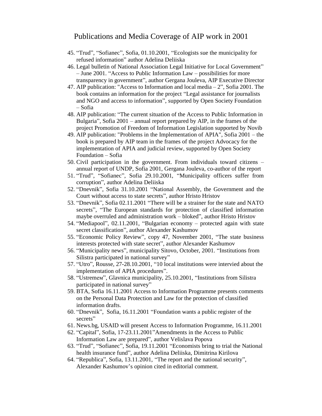- 45. "Trud", "Sofianec", Sofia, 01.10.2001, "Ecologists sue the municipality for refused information" author Adelina Deliiska
- 46. Legal bulletin of National Association Legal Initiative for Local Government" – June 2001. "Access to Public Information Law – possibilities for more transparency in government", author Gergana Jouleva, AIP Executive Director
- 47. AIP publication: "Access to Information and local media 2", Sofia 2001. The book contains an information for the project "Legal assistance for journalists and NGO and access to information", supported by Open Society Foundation – Sofia
- 48. AIP publication: "The current situation of the Access to Public Information in Bulgaria", Sofia 2001 – annual report prepared by AIP, in the frames of the project Promotion of Freedom of Information Legislation supported by Novib
- 49. AIP publication: "Problems in the Implementation of APIA", Sofia 2001 the book is prepared by AIP team in the frames of the project Advocacy for the implementation of APIA and judicial review, supported by Open Society Foundation – Sofia
- 50. Civil participation in the government. From individuals toward citizens annual report of UNDP, Sofia 2001, Gergana Jouleva, co-author of the report
- 51. "Trud", "Sofianec", Sofia 29.10.2001, "Municipality officers suffer from corruption", author Adelina Deliiska
- 52. "Dnevnik", Sofia 31.10.2001 "National Assembly, the Government and the Court without access to state secrets", author Hristo Hristov
- 53. "Dnevnik", Sofia 02.11.2001 "There will be a strainer for the state and NATO secrets", "The European standards for protection of classified information maybe overruled and administration work – bloked", author Hristo Hristov
- 54. "Mediapool", 02.11.2001, "Bulgarian economy protected again with state secret classification", author Alexander Kashumov
- 55. "Economic Policy Review", copy 47, November 2001, "The state business interests protected with state secret", author Alexander Kashumov
- 56. "Municipality news", municipality Sitovo, October, 2001. "Institutions from Silistra participated in national survey"
- 57. "Utro", Rousse, 27-28.10.2001, "10 local institutions were intervied about the implementation of APIA procedures".
- 58. "Ustremем", Glavnica municipality, 25.10.2001, "Institutions from Silistra participated in national survey"
- 59. BTA, Sofia 16.11.2001 Access to Information Programme presents comments on the Personal Data Protection and Law for the protection of classified information drafts.
- 60. "Dnevnik", Sofia, 16.11.2001 "Foundation wants a public register of the secrets"
- 61. News.bg, USAID will present Access to Information Programme, 16.11.2001
- 62. "Capital", Sofia, 17-23.11.2001"Amendments in the Access to Public Information Law are prepared", author Velislava Popova
- 63. "Trud", "Sofianec", Sofia, 19.11.2001 "Economists bring to trial the National health insurance fund", author Adelina Deliiska, Dimitrina Kirilova
- 64. "Republica", Sofia, 13.11.2001, "The report and the national security", Alexander Kashumov's opinion cited in editorial comment.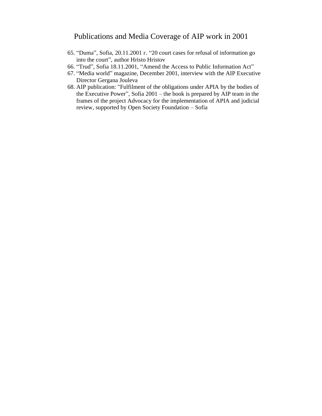- 65. "Duma", Sofia, 20.11.2001 г. "20 court cases for refusal of information go into the court", author Hristo Hristov
- 66. "Trud", Sofia 18.11.2001, "Amend the Access to Public Information Act"
- 67. "Media world" magazine, December 2001, interview with the AIP Executive Director Gergana Jouleva
- 68. AIP publication: "Fulfilment of the obligations under APIA by the bodies of the Executive Power", Sofia 2001 – the book is prepared by AIP team in the frames of the project Advocacy for the implementation of APIA and judicial review, supported by Open Society Foundation – Sofia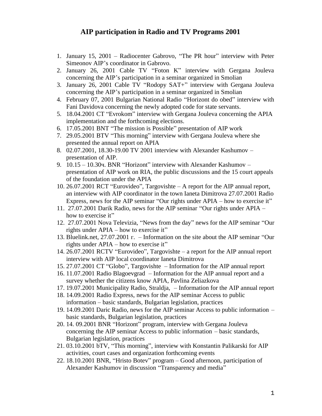# **AIP participation in Radio and TV Programs 2001**

- 1. January 15, 2001 Radiocenter Gabrovo, "The PR hour" interview with Peter Simeonov AIP's coordinator in Gabrovo.
- 2. January 26, 2001 Cable TV "Foton K" interview with Gergana Jouleva concerning the AIP's participation in a seminar organized in Smolian
- 3. January 26, 2001 Cable TV "Rodopy SAT+" interview with Gergana Jouleva concerning the AIP's participation in a seminar organized in Smolian
- 4. February 07, 2001 Bulgarian National Radio "Horizont do obed" interview with Fani Davidova concerning the newly adopted code for state servants.
- 5. 18.04.2001 CT "Evrokom" interview with Gergana Jouleva concerning the APIA implementation and the forthcoming elections.
- 6. 17.05.2001 BNT "The mission is Possible" presentation of AIP work
- 7. 29.05.2001 BTV "This morning" interview with Gergana Jouleva where she presented the annual report on APIA
- 8. 02.07.2001, 18.30-19.00 TV 2001 interview with Alexander Kashumov presentation of AIP.
- 9. 10.15 10.30ч. BNR "Horizont" interview with Alexander Kashumov presentation of AIP work on RIA, the public discussions and the 15 court appeals of the foundation under the APIA
- 10. 26.07.2001 RCT "Eurovideo", Targovishte A report for the AIP annual report, an interview with AIP coordinator in the town Ianeta Dimitrova 27.07.2001 Radio Express, news for the AIP seminar "Our rights under APIA – how to exercise it"
- 11. 27.07.2001 Darik Radio, news for the AIP seminar "Our rights under APIA how to exercise it"
- 12. 27.07.2001 Nova Televizia, "News from the day" news for the AIP seminar "Our rights under APIA – how to exercise it"
- 13. Bluelink.net, 27.07.2001 г. Information on the site about the AIP seminar "Our rights under APIA – how to exercise it"
- 14. 26.07.2001 RCTV "Eurovideo", Targovishte a report for the AIP annual report interview with AIP local coordinator Ianeta Dimitrova
- 15. 27.07.2001 CT "Globo", Targovishte Information for the AIP annual report
- 16. 11.07.2001 Radio Blagoevgrad Information for the AIP annual report and a survey whether the citizens know APIA, Pavlina Zeliazkova
- 17. 19.07.2001 Municipality Radio, Straldja, Information for the AIP annual report
- 18. 14.09.2001 Radio Express, news for the AIP seminar Access to public information – basic standards, Bulgarian legislation, practices
- 19. 14.09.2001 Daric Radio, news for the AIP seminar Access to public information basic standards, Bulgarian legislation, practices
- 20. 14. 09.2001 BNR "Horizont" program, interview with Gergana Jouleva concerning the AIP seminar Access to public information – basic standards, Bulgarian legislation, practices
- 21. 03.10.2001 bTV, "This morning", interview with Konstantin Palikarski for AIP activities, court cases and organization forthcoming events
- 22. 18.10.2001 BNR, "Hristo Botev" program Good afternoon, participation of Alexander Kashumov in discussion "Transparency and media"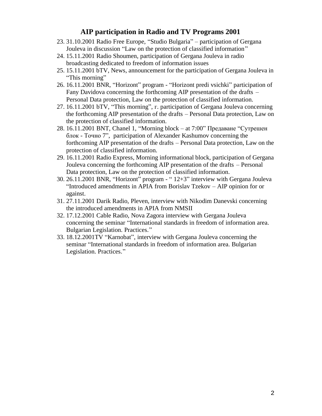# **AIP participation in Radio and TV Programs 2001**

- 23. 31.10.2001 Radio Free Europe, "Studio Bulgaria" participation of Gergana Jouleva in discussion "Law on the protection of classified information"
- 24. 15.11.2001 Radio Shoumen, participation of Gergana Jouleva in radio broadcasting dedicated to freedom of information issues
- 25. 15.11.2001 bTV, News, announcement for the participation of Gergana Jouleva in "This morning"
- 26. 16.11.2001 BNR, "Horizont" program "Horizont predi vsichki" participation of Fany Davidova concerning the forthcoming AIP presentation of the drafts – Personal Data protection, Law on the protection of classified information.
- 27. 16.11.2001 bTV, "This morning", г. participation of Gergana Jouleva concerning the forthcoming AIP presentation of the drafts – Personal Data protection, Law on the protection of classified information.
- 28. 16.11.2001 BNT, Chanel 1, "Morning block at 7:00" Предаване "Сутрешен блок - Точно 7", participation of Alexander Kashumov concerning the forthcoming AIP presentation of the drafts – Personal Data protection, Law on the protection of classified information.
- 29. 16.11.2001 Radio Express, Morning informational block, participation of Gergana Jouleva concerning the forthcoming AIP presentation of the drafts – Personal Data protection, Law on the protection of classified information.
- 30. 26.11.2001 BNR, "Horizont" program " 12+3" interview with Gergana Jouleva "Introduced amendments in APIA from Borislav Tzekov – AIP opinion for or against.
- 31. 27.11.2001 Darik Radio, Pleven, interview with Nikodim Danevski concerning the introduced amendments in APIA from NMSII
- 32. 17.12.2001 Cable Radio, Nova Zagora interview with Gergana Jouleva concerning the seminar "International standards in freedom of information area. Bulgarian Legislation. Practices."
- 33. 18.12.2001TV "Karnobat", interview with Gergana Jouleva concerning the seminar "International standards in freedom of information area. Bulgarian Legislation. Practices."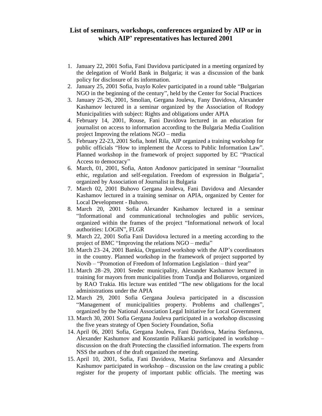- 1. January 22, 2001 Sofia, Fani Davidova participated in a meeting organized by the delegation of World Bank in Bulgaria; it was a discussion of the bank policy for disclosure of its information.
- 2. January 25, 2001 Sofia, Ivaylo Kolev participated in a round table "Bulgarian NGO in the beginning of the century", held by the Center for Social Practices
- 3. January 25-26, 2001, Smolian, Gergana Jouleva, Fany Davidova, Alexander Kashamov lectured in a seminar organized by the Association of Rodopy Municipalities with subject: Rights and obligations under APIA
- 4. February 14, 2001, Rouse, Fani Davidova lectured in an education for journalist on access to information according to the Bulgaria Media Coalition project Improving the relations NGO – media
- 5. February 22-23, 2001 Sofia, hotel Rila, AIP organized a training workshop for public officials "How to implement the Access to Public Information Law". Planned workshop in the framework of project supported by EC "Practical Access to democracy"
- 6. March, 01, 2001, Sofia, Anton Andonov participated in seminar "Journalist ethic, regulation and self-regulation. Freedom of expression in Bulgaria", organized by Association of Journalist in Bulgaria
- 7. March 02, 2001 Buhovo Gergana Jouleva, Fani Davidova and Alexander Kashamov lectured in a training seminar on APIA, organized by Center for Local Development - Buhovo.
- 8. March 20, 2001 Sofia Alexander Kashamov lectured in a seminar "Informational and communicational technologies and public services, organized within the frames of the project "Informational network of local authorities: LOGIN", FLGR
- 9. March 22, 2001 Sofia Fani Davidova lectured in a meeting according to the project of BMC "Improving the relations NGO – media"
- 10. March 23–24, 2001 Bankia, Organized workshop with the AIP's coordinators in the country. Planned workshop in the framework of project supported by Novib – "Promotion of Freedom of Information Legislation – third year"
- 11. March 28–29, 2001 Sredec municipality, Alexander Kashamov lectured in training for mayors from municipalities from Tundja and Boliarovo, organized by RAO Trakia. His lecture was entitled "The new obligations for the local administrations under the APIA
- 12. March 29, 2001 Sofia Gergana Jouleva participated in a discussion "Management of municipalities property. Problems and challenges", organized by the National Association Legal Initiative for Local Government
- 13. March 30, 2001 Sofia Gergana Jouleva participated in a workshop discussing the five years strategy of Open Society Foundation, Sofia
- 14. April 06, 2001 Sofia, Gergana Jouleva, Fani Davidova, Marina Stefanova, Alexander Kashumov and Konstantin Palikarski participated in workshop – discussion on the draft Protecting the classified information. The experts from NSS the authors of the draft organized the meeting.
- 15. April 10, 2001, Sofia, Fani Davidova, Marina Stefanova and Alexander Kashumov participated in workshop – discussion on the law creating a public register for the property of important public officials. The meeting was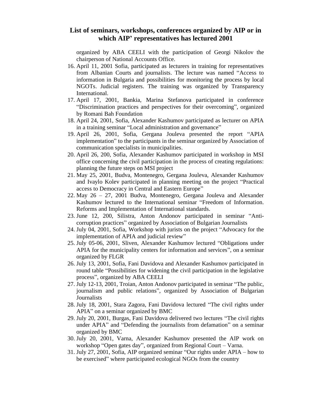organized by ABA CEELI with the participation of Georgi Nikolov the chairperson of National Accounts Office.

- 16. April 11, 2001 Sofia, participated as lecturers in training for representatives from Albanian Courts and journalists. The lecture was named "Access to information in Bulgaria and possibilities for monitoring the process by local NGOТs. Judicial registers. The training was organized by Transparency International.
- 17. April 17, 2001, Bankia, Marina Stefanova participated in conference "Discrimination practices and perspectives for their overcoming", organized by Romani Bah Foundation
- 18. April 24, 2001, Sofia, Alexander Kashumov participated as lecturer on APIA in a training seminar "Local administration and governance"
- 19. April 26, 2001, Sofia, Gergana Jouleva presented the report "APIA implementation" to the participants in the seminar organized by Association of communication specialists in municipalities.
- 20. April 26, 200, Sofia, Alexander Kashumov participated in workshop in MSI office concerning the civil participation in the process of creating regulations: planning the future steps on MSI project
- 21. May 25, 2001, Budva, Montenegro, Gergana Jouleva, Alexander Kashumov and Ivaylo Kolev participated in planning meeting on the project "Practical access to Democracy in Central and Eastern Europe"
- 22. May 26 27, 2001 Budva, Montenegro, Gergana Jouleva and Alexander Kashumov lectured to the International seminar "Freedom of Information. Reforms and Implementation of International standards.
- 23. June 12, 200, Silistra, Anton Andonov participated in seminar "Anticorruption practices" organized by Association of Bulgarian Journalists
- 24. July 04, 2001, Sofia, Workshop with jurists on the project "Advocacy for the implementation of APIA and judicial review"
- 25. July 05-06, 2001, Sliven, Alexander Kashumov lectured "Obligations under APIA for the municipality centers for information and services", on a seminar organized by FLGR
- 26. July 13, 2001, Sofia, Fani Davidova and Alexander Kashumov participated in round table "Possibilities for widening the civil participation in the legislative process", organized by ABA CEELI
- 27. July 12-13, 2001, Troian, Anton Andonov participated in seminar "The public, journalism and public relations", organized by Association of Bulgarian Journalists
- 28. July 18, 2001, Stara Zagora, Fani Davidova lectured "The civil rights under APIA" on a seminar organized by BMC
- 29. July 20, 2001, Burgas, Fani Davidova delivered two lectures "The civil rights under APIA" and "Defending the journalists from defamation" on a seminar organized by BMC
- 30. July 20, 2001, Varna, Alexander Kashumov presented the AIP work on workshop "Open gates day", organized from Regional Court – Varna.
- 31. July 27, 2001, Sofia, AIP organized seminar "Our rights under APIA how to be exercised" where participated ecological NGOs from the country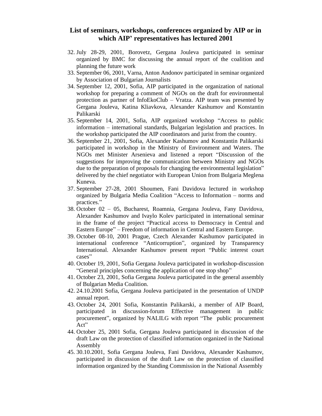- 32. July 28-29, 2001, Borovetz, Gergana Jouleva participated in seminar organized by BMC for discussing the annual report of the coalition and planning the future work
- 33. September 06, 2001, Varna, Anton Andonov participated in seminar organized by Association of Bulgarian Journalists
- 34. September 12, 2001, Sofia, AIP participated in the organization of national workshop for preparing a comment of NGOs on the draft for environmental protection as partner of InfoEkoClub – Vratza. AIP team was presented by Gergana Jouleva, Katina Kliavkova, Alexander Kashumov and Konstantin Palikarski
- 35. September 14, 2001, Sofia, AIP organized workshop "Access to public information – international standards, Bulgarian legislation and practices. In the workshop participated the AIP coordinators and jurist from the country.
- 36. September 21, 2001, Sofia, Alexander Kashumov and Konstantin Palikarski participated in workshop in the Ministry of Environment and Waters. The NGOs met Minister Arsenieva and listened a report "Discussion of the suggestions for improving the communication between Ministry and NGOs due to the preparation of proposals for changing the environmental legislation" delivered by the chief negotiator with European Union from Bulgaria Meglena Kuneva.
- 37. September 27-28, 2001 Shoumen, Fani Davidova lectured in workshop organized by Bulgaria Media Coalition "Access to Information – norms and practices."
- 38. October 02 05, Bucharest, Roamnia, Gergana Jouleva, Fany Davidova, Alexander Kashumov and Ivaylo Kolev participated in international seminar in the frame of the project "Practical access to Democracy in Central and Eastern Europe" – Freedom of information in Central and Eastern Europe.
- 39. October 08-10, 2001 Prague, Czech Alexander Kashumov participated in international conference "Anticorruption", organized by Transparency International. Alexander Kashumov present report "Public interest court cases"
- 40. October 19, 2001, Sofia Gergana Jouleva participated in workshop-discussion "General principles concerning the application of one stop shop"
- 41. October 23, 2001, Sofia Gergana Jouleva participated in the general assembly of Bulgarian Media Coalition.
- 42. 24.10.2001 Sofia, Gergana Jouleva participated in the presentation of UNDP annual report.
- 43. October 24, 2001 Sofia, Konstantin Palikarski, a member of AIP Board, participated in discussion-forum Effective management in public procurement", organized by NALILG with report "The public procurement Act"
- 44. October 25, 2001 Sofia, Gergana Jouleva participated in discussion of the draft Law on the protection of classified information organized in the National Assembly
- 45. 30.10.2001, Sofia Gergana Jouleva, Fani Davidova, Alexander Kashumov, participated in discussion of the draft Law on the protection of classified information organized by the Standing Commission in the National Assembly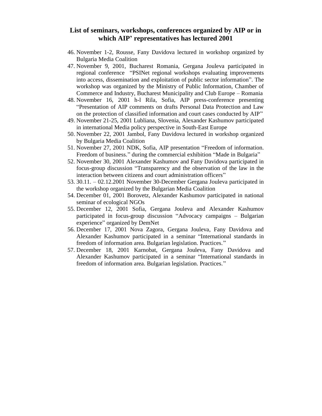- 46. November 1-2, Rousse, Fany Davidova lectured in workshop organized by Bulgaria Media Coalition
- 47. November 9, 2001, Bucharest Romania, Gergana Jouleva participated in regional conference "PSINet regional workshops evaluating improvements into access, dissemination and exploitation of public sector information". The workshop was organized by the Ministry of Public Information, Chamber of Commerce and Industry, Bucharest Municipality and Club Europe – Romania
- 48. November 16, 2001 h-l Rila, Sofia, AIP press-conference presenting "Presentation of AIP comments on drafts Personal Data Protection and Law on the protection of classified information and court cases conducted by AIP"
- 49. November 21-25, 2001 Lubliana, Slovenia, Alexander Kashumov participated in international Media policy perspective in South-East Europe
- 50. November 22, 2001 Jambol, Fany Davidova lectured in workshop organized by Bulgaria Media Coalition
- 51. November 27, 2001 NDK, Sofia, AIP presentation "Freedom of information. Freedom of business." during the commercial exhibition "Made in Bulgaria"
- 52. November 30, 2001 Alexander Kashumov and Fany Davidova participated in focus-group discussion "Transparency and the observation of the law in the interaction between citizens and court administration officers"
- 53. 30.11. 02.12.2001 November 30-December Gergana Jouleva participated in the workshop organized by the Bulgarian Media Coalition
- 54. December 01, 2001 Borovetz, Alexander Kashumov participated in national seminar of ecological NGOs
- 55. December 12, 2001 Sofia, Gergana Jouleva and Alexander Kashumov participated in focus-group discussion "Advocacy campaigns – Bulgarian experience" organized by DemNet
- 56. December 17, 2001 Nova Zagora, Gergana Jouleva, Fany Davidova and Alexander Kashumov participated in a seminar "International standards in freedom of information area. Bulgarian legislation. Practices."
- 57. December 18, 2001 Karnobat, Gergana Jouleva, Fany Davidova and Alexander Kashumov participated in a seminar "International standards in freedom of information area. Bulgarian legislation. Practices."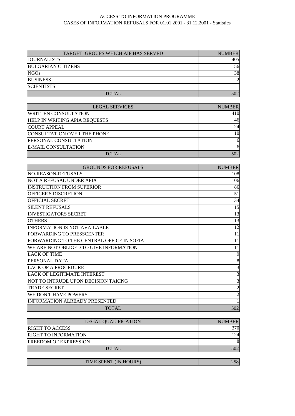| TARGET GROUPS WHICH AIP HAS SERVED | <b>NUMBER</b> |
|------------------------------------|---------------|
| <b>JOURNALISTS</b>                 | 405           |
| <b>BULGARIAN CITIZENS</b>          | 56            |
| <b>NGOs</b>                        | 38            |
| <b>BUSINESS</b>                    |               |
| <b>SCIENTISTS</b>                  |               |
| <b>TOTAL</b>                       |               |

| <b>LEGAL SERVICES</b>                | <b>NUMBER</b> |
|--------------------------------------|---------------|
| <b>WRITTEN CONSULTATION</b>          | 410           |
| <b>HELP IN WRITING APIA REQUESTS</b> | 46            |
| <b>COURT APPEAL</b>                  | 24            |
| CONSULTATION OVER THE PHONE          | 10            |
| <b>PERSONAL CONSULTATION</b>         | 61            |
| <b>E-MAIL CONSULTATION</b>           | 6             |
| <b>TOTAL</b>                         | 502           |

| <b>GROUNDS FOR REFUSALS</b>               | <b>NUMBER</b> |
|-------------------------------------------|---------------|
| <b>NO-REASON-REFUSALS</b>                 | 108           |
| NOT A REFUSAL UNDER APIA                  | 106           |
| <b>INSTRUCTION FROM SUPERIOR</b>          | 86            |
| <b>OFFICER'S DISCRETION</b>               | 51            |
| <b>OFFICIAL SECRET</b>                    | 34            |
| <b>SILENT REFUSALS</b>                    | 15            |
| <b>INVESTIGATORS SECRET</b>               | 13            |
| <b>OTHERS</b>                             | 13            |
| <b>INFORMATION IS NOT AVAILABLE</b>       | 12            |
| <b>FORWARDING TO PRESSCENTER</b>          | 11            |
| FORWARDING TO THE CENTRAL OFFICE IN SOFIA | 11            |
| WE ARE NOT OBLIGED TO GIVE INFORMATION    | 11            |
| <b>LACK OF TIME</b>                       | 9             |
| PERSONAL DATA                             | 8             |
| <b>LACK OF A PROCEDURE</b>                | 3             |
| <b>LACK OF LEGITIMATE INTEREST</b>        |               |
| NOT TO INTRUDE UPON DECISION TAKING       |               |
| <b>TRADE SECRET</b>                       | 2             |
| WE DON'T HAVE POWERS                      | 2             |
| <b>INFORMATION ALREADY PRESENTED</b>      |               |
| <b>TOTAL</b>                              | 502           |

| <b>LEGAL QUALIFICATION</b>   | <b>NUMBER</b> |
|------------------------------|---------------|
| <b>RIGHT TO ACCESS</b>       | 370           |
| <b>RIGHT TO INFORMATION</b>  | 24.           |
| <b>FREEDOM OF EXPRESSION</b> |               |
| <b>TOTAL</b>                 | 502           |
|                              |               |
| TIME SPENT (IN HOURS)        |               |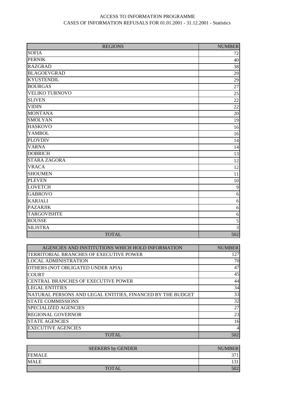| <b>REGIONS</b>        | <b>NUMBER</b>   |
|-----------------------|-----------------|
| <b>SOFIA</b>          | $72\,$          |
| <b>PERNIK</b>         | 40              |
| <b>RAZGRAD</b>        | 38              |
| <b>BLAGOEVGRAD</b>    | 29              |
| <b>KYUSTENDIL</b>     | 29              |
| <b>BOURGAS</b>        | 27              |
| <b>VELIKO TURNOVO</b> | $25\,$          |
| <b>SLIVEN</b>         | $\overline{22}$ |
| <b>VIDIN</b>          | 22              |
| <b>MONTANA</b>        | 20              |
| <b>SMOLYAN</b>        | 19              |
| <b>HASKOVO</b>        | 16              |
| <b>YAMBOL</b>         | 16              |
| <b>PLOVDIV</b>        | 14              |
| <b>VARNA</b>          | 14              |
| <b>DOBRICH</b>        | 13              |
| <b>STARA ZAGORA</b>   | 12              |
| <b>VRACA</b>          | 12              |
| <b>SHOUMEN</b>        | 11              |
| <b>PLEVEN</b>         | 10              |
| <b>LOVETCH</b>        | 9               |
| <b>GABROVO</b>        | 6               |
| <b>KARJALI</b>        | 6               |
| <b>PAZARJIK</b>       | 6               |
| <b>TARGOVISHTE</b>    | 6               |
| <b>ROUSSE</b>         | 5               |
| <b>SILISTRA</b>       | 3               |
| <b>TOTAL</b>          | 502             |

| AGENCIES AND INSTITUTIONS WHICH HOLD INFORMATION           | <b>NUMBER</b>  |
|------------------------------------------------------------|----------------|
| TERRITORIAL BRANCHES OF EXECUTIVE POWER                    | 127            |
| <b>LOCAL ADMINISTRATION</b>                                | 70             |
| OTHERS (NOT OBLIGATED UNDER APIA)                          | 47             |
| <b>COURT</b>                                               | 45             |
| <b>CENTRAL BRANCHES OF EXECUTIVE POWER</b>                 | 44             |
| <b>LEGAL ENTITIES</b>                                      | 34             |
| NATURAL PERSONS AND LEGAL ENTITIES, FINANCED BY THE BUDGET | 33             |
| <b>STATE COMMISSIONS</b>                                   | 32             |
| <b>SPECIALIZED AGENCIES</b>                                | 27             |
| <b>REGIONAL GOVERNOR</b>                                   | 23             |
| <b>STATE AGENCIES</b>                                      | 16             |
| <b>EXECUTIVE AGENCIES</b>                                  | $\overline{4}$ |
| <b>TOTAL</b>                                               | 502            |

| <b>SEEKERS by GENDER</b> | <b>NUMBER</b>            |
|--------------------------|--------------------------|
| <b>FEMALE</b>            | $\overline{\phantom{a}}$ |
| <b>MALE</b>              |                          |
| <b>TOTAL</b>             | 502                      |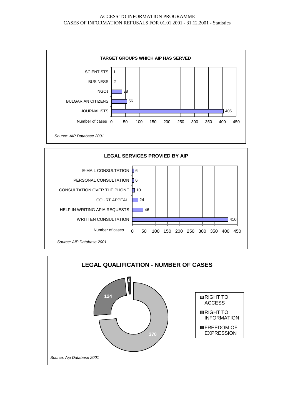



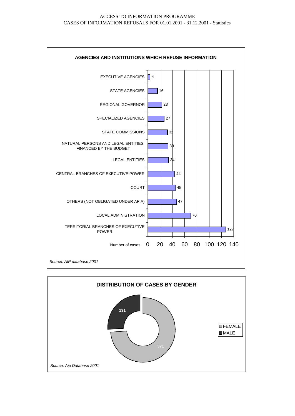

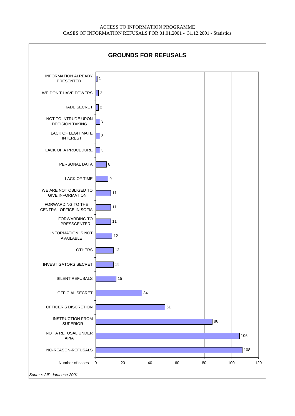